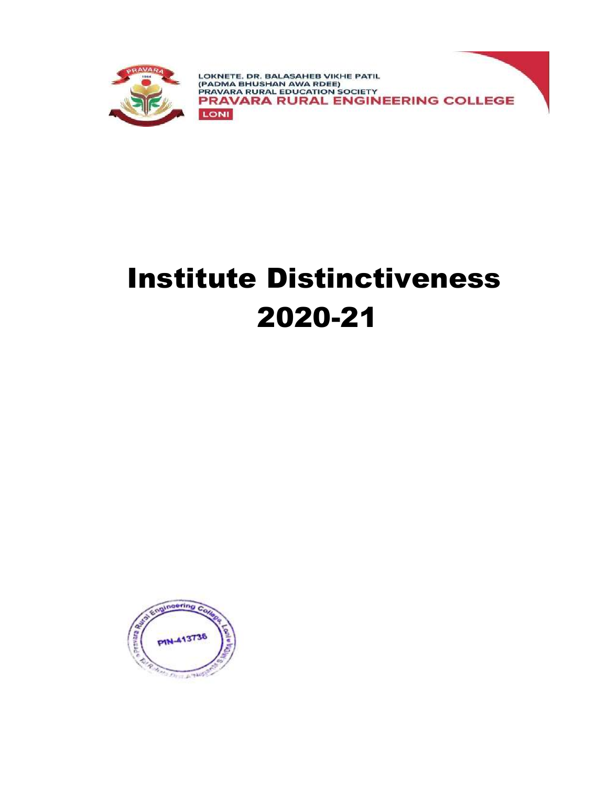

# Institute Distinctiveness 2020-21

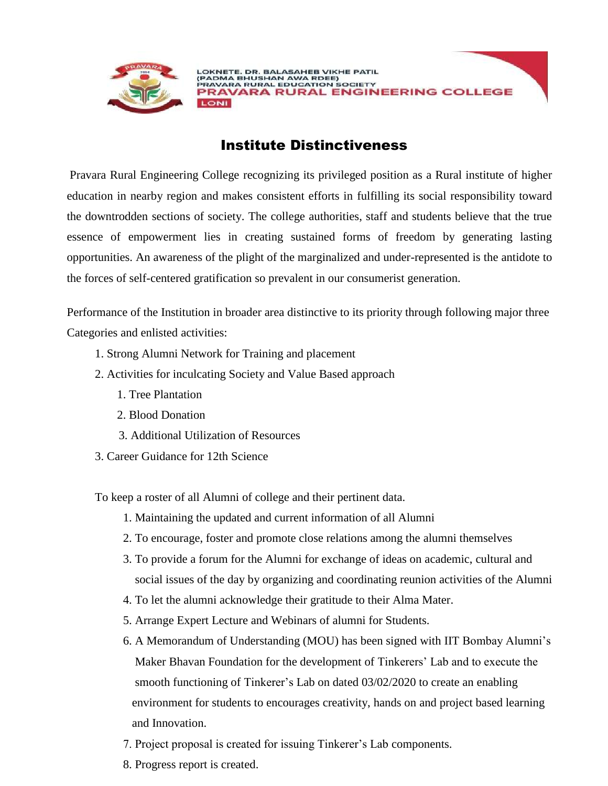

## Institute Distinctiveness

Pravara Rural Engineering College recognizing its privileged position as a Rural institute of higher education in nearby region and makes consistent efforts in fulfilling its social responsibility toward the downtrodden sections of society. The college authorities, staff and students believe that the true essence of empowerment lies in creating sustained forms of freedom by generating lasting opportunities. An awareness of the plight of the marginalized and under-represented is the antidote to the forces of self-centered gratification so prevalent in our consumerist generation.

Performance of the Institution in broader area distinctive to its priority through following major three Categories and enlisted activities:

- 1. Strong Alumni Network for Training and placement
- 2. Activities for inculcating Society and Value Based approach
	- 1. Tree Plantation
	- 2. Blood Donation
	- 3. Additional Utilization of Resources
- 3. Career Guidance for 12th Science

To keep a roster of all Alumni of college and their pertinent data.

- 1. Maintaining the updated and current information of all Alumni
- 2. To encourage, foster and promote close relations among the alumni themselves
- 3. To provide a forum for the Alumni for exchange of ideas on academic, cultural and social issues of the day by organizing and coordinating reunion activities of the Alumni
- 4. To let the alumni acknowledge their gratitude to their Alma Mater.
- 5. Arrange Expert Lecture and Webinars of alumni for Students.
- 6. A Memorandum of Understanding (MOU) has been signed with IIT Bombay Alumni's Maker Bhavan Foundation for the development of Tinkerers' Lab and to execute the smooth functioning of Tinkerer's Lab on dated 03/02/2020 to create an enabling environment for students to encourages creativity, hands on and project based learning and Innovation.
- 7. Project proposal is created for issuing Tinkerer's Lab components.
- 8. Progress report is created.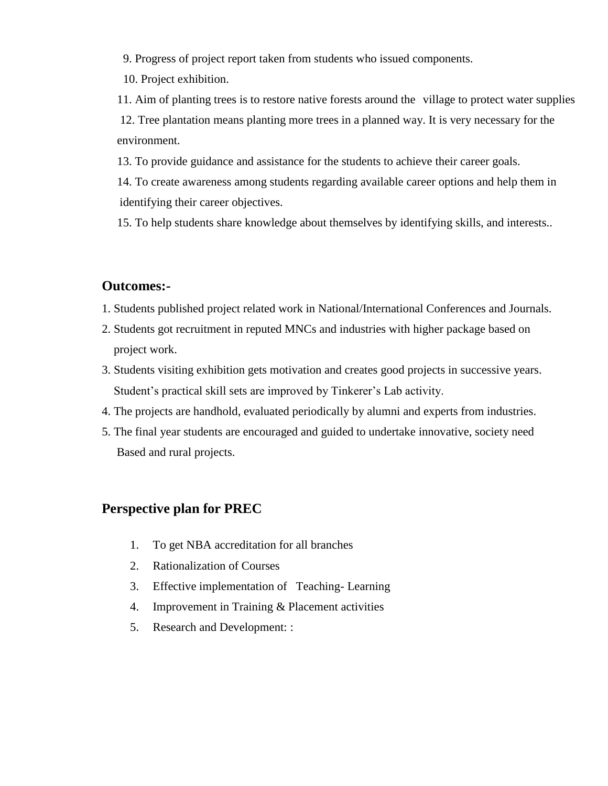9. Progress of project report taken from students who issued components.

10. Project exhibition.

11. Aim of planting trees is to restore native forests around the village to protect water supplies 12. Tree plantation means planting more trees in a planned way. It is very necessary for the environment.

13. To provide guidance and assistance for the students to achieve their career goals.

14. To create awareness among students regarding available career options and help them in identifying their career objectives.

15. To help students share knowledge about themselves by identifying skills, and interests..

## **Outcomes:-**

- 1. Students published project related work in National/International Conferences and Journals.
- 2. Students got recruitment in reputed MNCs and industries with higher package based on project work.
- 3. Students visiting exhibition gets motivation and creates good projects in successive years. Student's practical skill sets are improved by Tinkerer's Lab activity.
- 4. The projects are handhold, evaluated periodically by alumni and experts from industries.
- 5. The final year students are encouraged and guided to undertake innovative, society need Based and rural projects.

## **Perspective plan for PREC**

- 1. To get NBA accreditation for all branches
- 2. Rationalization of Courses
- 3. Effective implementation of Teaching- Learning
- 4. Improvement in Training & Placement activities
- 5. Research and Development: :